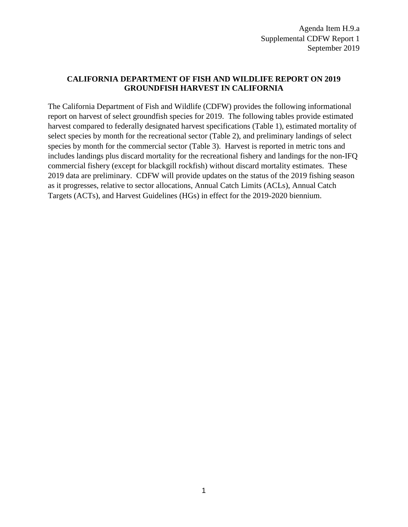## **CALIFORNIA DEPARTMENT OF FISH AND WILDLIFE REPORT ON 2019 GROUNDFISH HARVEST IN CALIFORNIA**

The California Department of Fish and Wildlife (CDFW) provides the following informational report on harvest of select groundfish species for 2019. The following tables provide estimated harvest compared to federally designated harvest specifications (Table 1), estimated mortality of select species by month for the recreational sector (Table 2), and preliminary landings of select species by month for the commercial sector (Table 3). Harvest is reported in metric tons and includes landings plus discard mortality for the recreational fishery and landings for the non-IFQ commercial fishery (except for blackgill rockfish) without discard mortality estimates. These 2019 data are preliminary. CDFW will provide updates on the status of the 2019 fishing season as it progresses, relative to sector allocations, Annual Catch Limits (ACLs), Annual Catch Targets (ACTs), and Harvest Guidelines (HGs) in effect for the 2019-2020 biennium.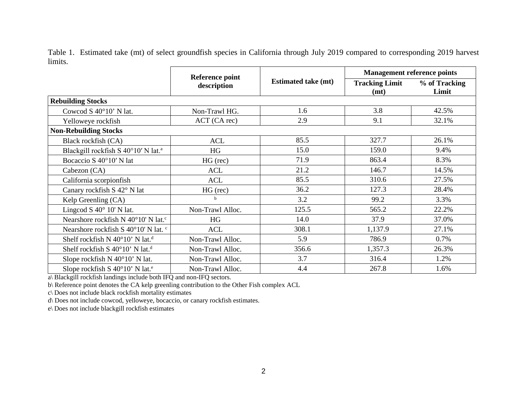Table 1. Estimated take (mt) of select groundfish species in California through July 2019 compared to corresponding 2019 harvest limits.

|                                                      | <b>Reference point</b> |                            | <b>Management reference points</b> |                        |  |  |  |  |
|------------------------------------------------------|------------------------|----------------------------|------------------------------------|------------------------|--|--|--|--|
|                                                      | description            | <b>Estimated take (mt)</b> | <b>Tracking Limit</b><br>(mt)      | % of Tracking<br>Limit |  |  |  |  |
| <b>Rebuilding Stocks</b>                             |                        |                            |                                    |                        |  |  |  |  |
| Cowcod S $40^{\circ}10'$ N lat.                      | Non-Trawl HG.          | 1.6                        | 3.8                                | 42.5%                  |  |  |  |  |
| Yelloweye rockfish                                   | ACT (CA rec)           | 2.9                        | 9.1                                | 32.1%                  |  |  |  |  |
| <b>Non-Rebuilding Stocks</b>                         |                        |                            |                                    |                        |  |  |  |  |
| Black rockfish (CA)                                  | <b>ACL</b>             | 85.5                       | 327.7                              | 26.1%                  |  |  |  |  |
| Blackgill rockfish S 40°10' N lat. <sup>a</sup>      | HG                     | 15.0                       | 159.0                              | 9.4%                   |  |  |  |  |
| Bocaccio S 40°10' N lat                              | $HG$ (rec)             | 71.9                       | 863.4                              | 8.3%                   |  |  |  |  |
| Cabezon (CA)                                         | <b>ACL</b>             | 21.2                       | 146.7                              | 14.5%                  |  |  |  |  |
| California scorpionfish                              | <b>ACL</b>             | 85.5                       | 310.6                              | 27.5%                  |  |  |  |  |
| Canary rockfish S 42° N lat                          | $HG$ (rec)             | 36.2                       | 127.3                              | 28.4%                  |  |  |  |  |
| Kelp Greenling (CA)                                  | b                      | 3.2                        | 99.2                               | 3.3%                   |  |  |  |  |
| Lingcod S $40^{\circ}$ 10' N lat.                    | Non-Trawl Alloc.       |                            | 565.2                              | 22.2%                  |  |  |  |  |
| Nearshore rockfish N 40°10' N lat. <sup>c</sup>      | HG                     | 14.0                       | 37.9                               | 37.0%                  |  |  |  |  |
| Nearshore rockfish S 40°10' N lat. <sup>c</sup>      | <b>ACL</b>             | 308.1                      | 1,137.9                            | 27.1%                  |  |  |  |  |
| Shelf rockfish N 40°10' N lat. <sup>d</sup>          | Non-Trawl Alloc.       | 5.9                        | 786.9                              | 0.7%                   |  |  |  |  |
| Shelf rockfish S $40^{\circ}10'$ N lat. <sup>d</sup> | Non-Trawl Alloc.       | 356.6                      | 1,357.3                            | 26.3%                  |  |  |  |  |
| Slope rockfish N 40°10' N lat.                       | Non-Trawl Alloc.       | 3.7                        | 316.4                              | 1.2%                   |  |  |  |  |
| Slope rockfish S 40°10' N lat. <sup>e</sup>          | Non-Trawl Alloc.       | 4.4                        | 267.8                              | 1.6%                   |  |  |  |  |

a\ Blackgill rockfish landings include both IFQ and non-IFQ sectors.

b\ Reference point denotes the CA kelp greenling contribution to the Other Fish complex ACL

c\ Does not include black rockfish mortality estimates

d\ Does not include cowcod, yelloweye, bocaccio, or canary rockfish estimates.

e\ Does not include blackgill rockfish estimates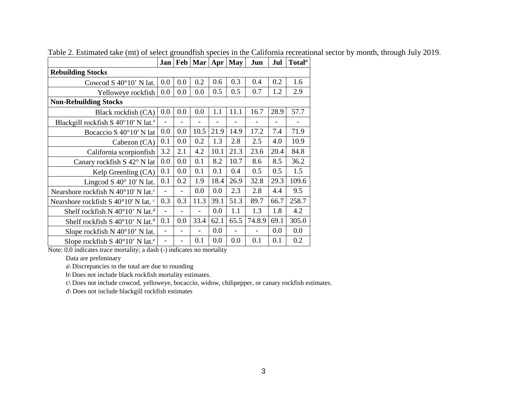|                                                      | Jan |     | Feb   Mar   Apr |      | <b>May</b>               | Jun                      | Jul  | <b>Total</b> <sup>a</sup> |
|------------------------------------------------------|-----|-----|-----------------|------|--------------------------|--------------------------|------|---------------------------|
| <b>Rebuilding Stocks</b>                             |     |     |                 |      |                          |                          |      |                           |
| Cowcod S $40^{\circ}10'$ N lat.                      |     | 0.0 | 0.2             | 0.6  | 0.3                      | 0.4                      | 0.2  | 1.6                       |
| Yelloweye rockfish                                   |     | 0.0 | 0.0             | 0.5  | 0.5                      | 0.7                      | 1.2  | 2.9                       |
| <b>Non-Rebuilding Stocks</b>                         |     |     |                 |      |                          |                          |      |                           |
| Black rockfish (CA)                                  |     | 0.0 | 0.0             | 1.1  | 11.1                     | 16.7                     | 28.9 | 57.7                      |
| Blackgill rockfish S 40°10' N lat. <sup>a</sup>      |     |     |                 |      |                          |                          |      |                           |
| Bocaccio S 40°10' N lat                              | 0.0 | 0.0 | 10.5            | 21.9 | 14.9                     | 17.2                     | 7.4  | 71.9                      |
| Cabezon (CA)                                         | 0.1 | 0.0 | 0.2             | 1.3  | 2.8                      | 2.5                      | 4.0  | 10.9                      |
| California scorpionfish                              | 3.2 | 2.1 | 4.2             | 10.1 | 21.3                     | 23.6                     | 20.4 | 84.8                      |
| Canary rockfish S 42° N lat                          |     | 0.0 | 0.1             | 8.2  | 10.7                     | 8.6                      | 8.5  | 36.2                      |
| Kelp Greenling (CA)                                  |     | 0.0 | 0.1             | 0.1  | 0.4                      | 0.5                      | 0.5  | 1.5                       |
| Lingcod S $40^{\circ}$ 10' N lat.                    |     | 0.2 | 1.9             | 18.4 | 26.9                     | 32.8                     | 29.3 | 109.6                     |
| Nearshore rockfish N 40°10' N lat. <sup>c</sup>      |     |     | 0.0             | 0.0  | 2.3                      | 2.8                      | 4.4  | 9.5                       |
| Nearshore rockfish S 40°10' N lat. <sup>c</sup>      | 0.3 | 0.3 | 11.3            | 39.1 | 51.3                     | 89.7                     | 66.7 | 258.7                     |
| Shelf rockfish N $40^{\circ}10'$ N lat. <sup>d</sup> |     |     |                 | 0.0  | 1.1                      | 1.3                      | 1.8  | 4.2                       |
| Shelf rockfish S $40^{\circ}10'$ N lat. <sup>d</sup> |     | 0.0 | 33.4            | 62.1 | 65.5                     | 74.8.9                   | 69.1 | 305.0                     |
| Slope rockfish $N$ 40 $^{\circ}$ 10' N lat.          |     |     |                 | 0.0  | $\overline{\phantom{a}}$ | $\overline{\phantom{0}}$ | 0.0  | 0.0                       |
| Slope rockfish S $40^{\circ}10'$ N lat. <sup>e</sup> |     |     | 0.1             | 0.0  | 0.0                      | 0.1                      | 0.1  | 0.2                       |

Table 2. Estimated take (mt) of select groundfish species in the California recreational sector by month, through July 2019.

Note: 0.0 indicates trace mortality; a dash (-) indicates no mortality

Data are preliminary

a\ Discrepancies in the total are due to rounding

b\ Does not include black rockfish mortality estimates.

c\ Does not include cowcod, yelloweye, bocaccio, widow, chilipepper, or canary rockfish estimates.

d\ Does not include blackgill rockfish estimates